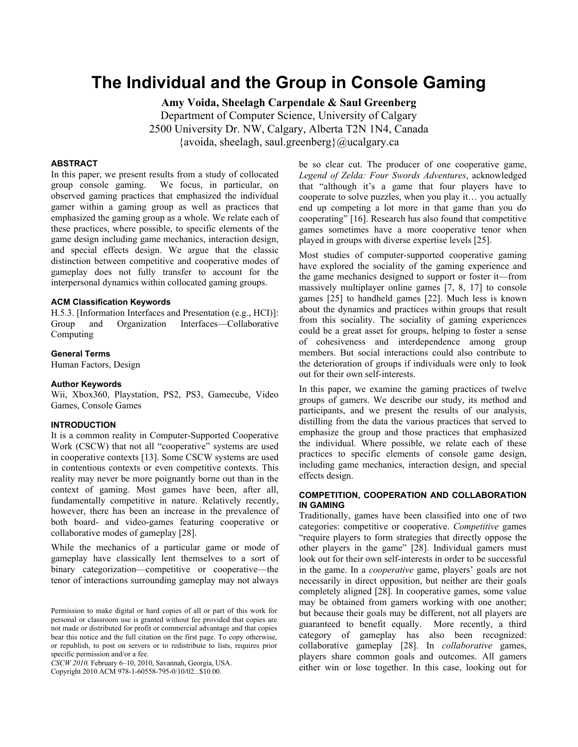# **The Individual and the Group in Console Gaming**

**Amy Voida, Sheelagh Carpendale & Saul Greenberg** Department of Computer Science, University of Calgary 2500 University Dr. NW, Calgary, Alberta T2N 1N4, Canada  $\{\text{avoida, sheelagh, sau1, greenberg}\}\$ @ucalgary.ca

#### **ABSTRACT**

In this paper, we present results from a study of collocated group console gaming. We focus, in particular, on observed gaming practices that emphasized the individual gamer within a gaming group as well as practices that emphasized the gaming group as a whole. We relate each of these practices, where possible, to specific elements of the game design including game mechanics, interaction design, and special effects design. We argue that the classic distinction between competitive and cooperative modes of gameplay does not fully transfer to account for the interpersonal dynamics within collocated gaming groups.

# **ACM Classification Keywords**

H.5.3. [Information Interfaces and Presentation (e.g., HCI)]: Group and Organization Interfaces—Collaborative Computing

#### **General Terms**

Human Factors, Design

## **Author Keywords**

Wii, Xbox360, Playstation, PS2, PS3, Gamecube, Video Games, Console Games

# **INTRODUCTION**

It is a common reality in Computer-Supported Cooperative Work (CSCW) that not all "cooperative" systems are used in cooperative contexts [13]. Some CSCW systems are used in contentious contexts or even competitive contexts. This reality may never be more poignantly borne out than in the context of gaming. Most games have been, after all, fundamentally competitive in nature. Relatively recently, however, there has been an increase in the prevalence of both board- and video-games featuring cooperative or collaborative modes of gameplay [28].

While the mechanics of a particular game or mode of gameplay have classically lent themselves to a sort of binary categorization—competitive or cooperative—the tenor of interactions surrounding gameplay may not always

*CSCW 2010,* February 6–10, 2010, Savannah, Georgia, USA.

Copyright 2010 ACM 978-1-60558-795-0/10/02...\$10.00.

be so clear cut. The producer of one cooperative game, *Legend of Zelda: Four Swords Adventures*, acknowledged that "although it's a game that four players have to cooperate to solve puzzles, when you play it… you actually end up competing a lot more in that game than you do cooperating" [16]. Research has also found that competitive games sometimes have a more cooperative tenor when played in groups with diverse expertise levels [25].

Most studies of computer-supported cooperative gaming have explored the sociality of the gaming experience and the game mechanics designed to support or foster it—from massively multiplayer online games [7, 8, 17] to console games [25] to handheld games [22]. Much less is known about the dynamics and practices within groups that result from this sociality. The sociality of gaming experiences could be a great asset for groups, helping to foster a sense of cohesiveness and interdependence among group members. But social interactions could also contribute to the deterioration of groups if individuals were only to look out for their own self-interests.

In this paper, we examine the gaming practices of twelve groups of gamers. We describe our study, its method and participants, and we present the results of our analysis, distilling from the data the various practices that served to emphasize the group and those practices that emphasized the individual. Where possible, we relate each of these practices to specific elements of console game design, including game mechanics, interaction design, and special effects design.

# **COMPETITION, COOPERATION AND COLLABORATION IN GAMING**

Traditionally, games have been classified into one of two categories: competitive or cooperative. *Competitive* games "require players to form strategies that directly oppose the other players in the game" [28]. Individual gamers must look out for their own self-interests in order to be successful in the game. In a *cooperative* game, players' goals are not necessarily in direct opposition, but neither are their goals completely aligned [28]. In cooperative games, some value may be obtained from gamers working with one another; but because their goals may be different, not all players are guaranteed to benefit equally. More recently, a third category of gameplay has also been recognized: collaborative gameplay [28]. In *collaborative* games, players share common goals and outcomes. All gamers either win or lose together. In this case, looking out for

Permission to make digital or hard copies of all or part of this work for personal or classroom use is granted without fee provided that copies are not made or distributed for profit or commercial advantage and that copies bear this notice and the full citation on the first page. To copy otherwise, or republish, to post on servers or to redistribute to lists, requires prior specific permission and/or a fee.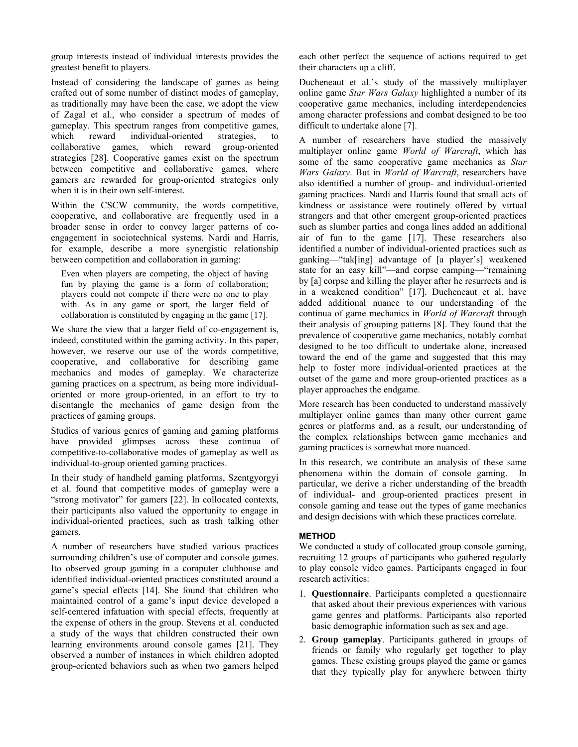group interests instead of individual interests provides the greatest benefit to players.

Instead of considering the landscape of games as being crafted out of some number of distinct modes of gameplay, as traditionally may have been the case, we adopt the view of Zagal et al., who consider a spectrum of modes of gameplay. This spectrum ranges from competitive games, which reward individual-oriented strategies, to collaborative games, which reward group-oriented strategies [28]. Cooperative games exist on the spectrum between competitive and collaborative games, where gamers are rewarded for group-oriented strategies only when it is in their own self-interest.

Within the CSCW community, the words competitive, cooperative, and collaborative are frequently used in a broader sense in order to convey larger patterns of coengagement in sociotechnical systems. Nardi and Harris, for example, describe a more synergistic relationship between competition and collaboration in gaming:

Even when players are competing, the object of having fun by playing the game is a form of collaboration; players could not compete if there were no one to play with. As in any game or sport, the larger field of collaboration is constituted by engaging in the game [17].

We share the view that a larger field of co-engagement is, indeed, constituted within the gaming activity. In this paper, however, we reserve our use of the words competitive, cooperative, and collaborative for describing game mechanics and modes of gameplay. We characterize gaming practices on a spectrum, as being more individualoriented or more group-oriented, in an effort to try to disentangle the mechanics of game design from the practices of gaming groups.

Studies of various genres of gaming and gaming platforms have provided glimpses across these continua of competitive-to-collaborative modes of gameplay as well as individual-to-group oriented gaming practices.

In their study of handheld gaming platforms, Szentgyorgyi et al. found that competitive modes of gameplay were a "strong motivator" for gamers [22]. In collocated contexts, their participants also valued the opportunity to engage in individual-oriented practices, such as trash talking other gamers.

A number of researchers have studied various practices surrounding children's use of computer and console games. Ito observed group gaming in a computer clubhouse and identified individual-oriented practices constituted around a game's special effects [14]. She found that children who maintained control of a game's input device developed a self-centered infatuation with special effects, frequently at the expense of others in the group. Stevens et al. conducted a study of the ways that children constructed their own learning environments around console games [21]. They observed a number of instances in which children adopted group-oriented behaviors such as when two gamers helped each other perfect the sequence of actions required to get their characters up a cliff.

Ducheneaut et al.'s study of the massively multiplayer online game *Star Wars Galaxy* highlighted a number of its cooperative game mechanics, including interdependencies among character professions and combat designed to be too difficult to undertake alone [7].

A number of researchers have studied the massively multiplayer online game *World of Warcraft*, which has some of the same cooperative game mechanics as *Star Wars Galaxy*. But in *World of Warcraft*, researchers have also identified a number of group- and individual-oriented gaming practices. Nardi and Harris found that small acts of kindness or assistance were routinely offered by virtual strangers and that other emergent group-oriented practices such as slumber parties and conga lines added an additional air of fun to the game [17]. These researchers also identified a number of individual-oriented practices such as ganking—"tak[ing] advantage of [a player's] weakened state for an easy kill"—and corpse camping—"remaining by [a] corpse and killing the player after he resurrects and is in a weakened condition" [17]. Ducheneaut et al. have added additional nuance to our understanding of the continua of game mechanics in *World of Warcraft* through their analysis of grouping patterns [8]. They found that the prevalence of cooperative game mechanics, notably combat designed to be too difficult to undertake alone, increased toward the end of the game and suggested that this may help to foster more individual-oriented practices at the outset of the game and more group-oriented practices as a player approaches the endgame.

More research has been conducted to understand massively multiplayer online games than many other current game genres or platforms and, as a result, our understanding of the complex relationships between game mechanics and gaming practices is somewhat more nuanced.

In this research, we contribute an analysis of these same phenomena within the domain of console gaming. In particular, we derive a richer understanding of the breadth of individual- and group-oriented practices present in console gaming and tease out the types of game mechanics and design decisions with which these practices correlate.

# **METHOD**

We conducted a study of collocated group console gaming, recruiting 12 groups of participants who gathered regularly to play console video games. Participants engaged in four research activities:

- 1. **Questionnaire**. Participants completed a questionnaire that asked about their previous experiences with various game genres and platforms. Participants also reported basic demographic information such as sex and age.
- 2. **Group gameplay**. Participants gathered in groups of friends or family who regularly get together to play games. These existing groups played the game or games that they typically play for anywhere between thirty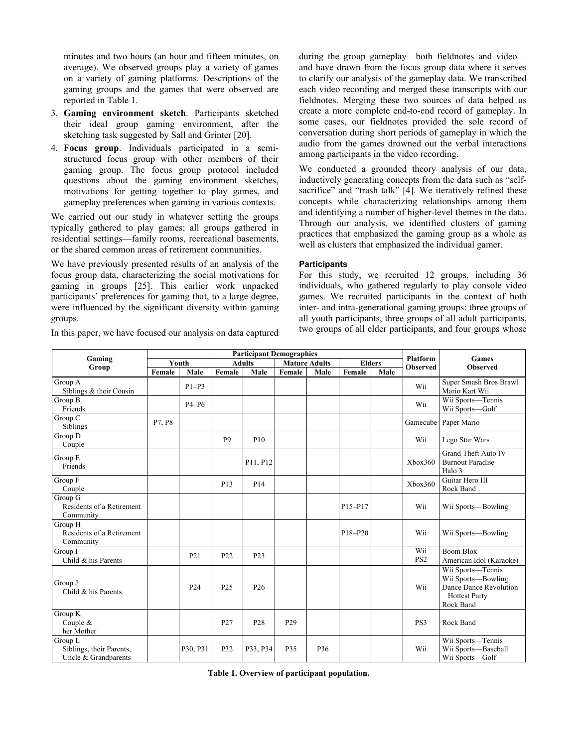minutes and two hours (an hour and fifteen minutes, on average). We observed groups play a variety of games on a variety of gaming platforms. Descriptions of the gaming groups and the games that were observed are reported in Table 1.

- 3. **Gaming environment sketch**. Participants sketched their ideal group gaming environment, after the sketching task suggested by Sall and Grinter [20].
- 4. **Focus group**. Individuals participated in a semistructured focus group with other members of their gaming group. The focus group protocol included questions about the gaming environment sketches, motivations for getting together to play games, and gameplay preferences when gaming in various contexts.

We carried out our study in whatever setting the groups typically gathered to play games; all groups gathered in residential settings—family rooms, recreational basements, or the shared common areas of retirement communities.

We have previously presented results of an analysis of the focus group data, characterizing the social motivations for gaming in groups [25]. This earlier work unpacked participants' preferences for gaming that, to a large degree, were influenced by the significant diversity within gaming groups.

during the group gameplay—both fieldnotes and video and have drawn from the focus group data where it serves to clarify our analysis of the gameplay data. We transcribed each video recording and merged these transcripts with our fieldnotes. Merging these two sources of data helped us create a more complete end-to-end record of gameplay. In some cases, our fieldnotes provided the sole record of conversation during short periods of gameplay in which the audio from the games drowned out the verbal interactions among participants in the video recording.

We conducted a grounded theory analysis of our data, inductively generating concepts from the data such as "selfsacrifice" and "trash talk" [4]. We iteratively refined these concepts while characterizing relationships among them and identifying a number of higher-level themes in the data. Through our analysis, we identified clusters of gaming practices that emphasized the gaming group as a whole as well as clusters that emphasized the individual gamer.

## **Participants**

For this study, we recruited 12 groups, including 36 individuals, who gathered regularly to play console video games. We recruited participants in the context of both inter- and intra-generational gaming groups: three groups of all youth participants, three groups of all adult participants, two groups of all elder participants, and four groups whose

| Gaming<br>Group                                             | <b>Participant Demographics</b> |                  |                 |                 |                      |      |               |      | <b>Platform</b>        | Games                                                                                                  |
|-------------------------------------------------------------|---------------------------------|------------------|-----------------|-----------------|----------------------|------|---------------|------|------------------------|--------------------------------------------------------------------------------------------------------|
|                                                             | Youth                           |                  | <b>Adults</b>   |                 | <b>Mature Adults</b> |      | <b>Elders</b> |      | <b>Observed</b>        | <b>Observed</b>                                                                                        |
|                                                             | Female                          | Male             | Female          | Male            | Female               | Male | Female        | Male |                        |                                                                                                        |
| Group A<br>Siblings & their Cousin                          |                                 | $P1-P3$          |                 |                 |                      |      |               |      | Wii                    | Super Smash Bros Brawl<br>Mario Kart Wii                                                               |
| Group B<br>Friends                                          |                                 | $P4-P6$          |                 |                 |                      |      |               |      | Wii                    | Wii Sports-Tennis<br>Wii Sports-Golf                                                                   |
| Group C<br>Siblings                                         | P7, P8                          |                  |                 |                 |                      |      |               |      | Gamecube               | Paper Mario                                                                                            |
| Group D<br>Couple                                           |                                 |                  | P <sub>9</sub>  | P <sub>10</sub> |                      |      |               |      | Wii                    | Lego Star Wars                                                                                         |
| Group E<br>Friends                                          |                                 |                  |                 | P11, P12        |                      |      |               |      | Xbox360                | <b>Grand Theft Auto IV</b><br><b>Burnout Paradise</b><br>Halo 3                                        |
| Group F<br>Couple                                           |                                 |                  | P <sub>13</sub> | P <sub>14</sub> |                      |      |               |      | Xbox360                | Guitar Hero III<br>Rock Band                                                                           |
| Group G<br>Residents of a Retirement<br>Community           |                                 |                  |                 |                 |                      |      | P15-P17       |      | Wii                    | Wii Sports-Bowling                                                                                     |
| Group H<br>Residents of a Retirement<br>Community           |                                 |                  |                 |                 |                      |      | P18-P20       |      | Wii                    | Wii Sports-Bowling                                                                                     |
| Group I<br>Child & his Parents                              |                                 | P <sub>2</sub> 1 | P <sub>22</sub> | P <sub>23</sub> |                      |      |               |      | Wii<br>PS <sub>2</sub> | <b>Boom Blox</b><br>American Idol (Karaoke)                                                            |
| Group J<br>Child & his Parents                              |                                 | P <sub>24</sub>  | P <sub>25</sub> | P <sub>26</sub> |                      |      |               |      | Wii                    | Wii Sports-Tennis<br>Wii Sports-Bowling<br>Dance Dance Revolution<br><b>Hottest Party</b><br>Rock Band |
| Group K<br>Couple $&$<br>her Mother                         |                                 |                  | P27             | P <sub>28</sub> | P <sub>29</sub>      |      |               |      | PS3                    | Rock Band                                                                                              |
| Group L<br>Siblings, their Parents,<br>Uncle & Grandparents |                                 | P30, P31         | P32             | P33, P34        | P35                  | P36  |               |      | Wii                    | Wii Sports-Tennis<br>Wii Sports-Baseball<br>Wii Sports-Golf                                            |

In this paper, we have focused our analysis on data captured

**Table 1. Overview of participant population.**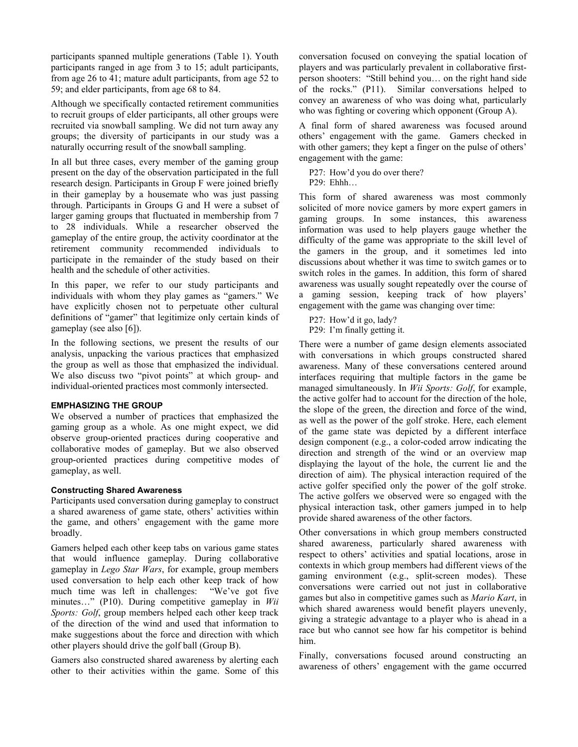participants spanned multiple generations (Table 1). Youth participants ranged in age from 3 to 15; adult participants, from age 26 to 41; mature adult participants, from age 52 to 59; and elder participants, from age 68 to 84.

Although we specifically contacted retirement communities to recruit groups of elder participants, all other groups were recruited via snowball sampling. We did not turn away any groups; the diversity of participants in our study was a naturally occurring result of the snowball sampling.

In all but three cases, every member of the gaming group present on the day of the observation participated in the full research design. Participants in Group F were joined briefly in their gameplay by a housemate who was just passing through. Participants in Groups G and H were a subset of larger gaming groups that fluctuated in membership from 7 to 28 individuals. While a researcher observed the gameplay of the entire group, the activity coordinator at the retirement community recommended individuals to participate in the remainder of the study based on their health and the schedule of other activities.

In this paper, we refer to our study participants and individuals with whom they play games as "gamers." We have explicitly chosen not to perpetuate other cultural definitions of "gamer" that legitimize only certain kinds of gameplay (see also [6]).

In the following sections, we present the results of our analysis, unpacking the various practices that emphasized the group as well as those that emphasized the individual. We also discuss two "pivot points" at which group- and individual-oriented practices most commonly intersected.

# **EMPHASIZING THE GROUP**

We observed a number of practices that emphasized the gaming group as a whole. As one might expect, we did observe group-oriented practices during cooperative and collaborative modes of gameplay. But we also observed group-oriented practices during competitive modes of gameplay, as well.

# **Constructing Shared Awareness**

Participants used conversation during gameplay to construct a shared awareness of game state, others' activities within the game, and others' engagement with the game more broadly.

Gamers helped each other keep tabs on various game states that would influence gameplay. During collaborative gameplay in *Lego Star Wars*, for example, group members used conversation to help each other keep track of how<br>much time was left in challenges: "We've got five much time was left in challenges: minutes…" (P10). During competitive gameplay in *Wii Sports: Golf*, group members helped each other keep track of the direction of the wind and used that information to make suggestions about the force and direction with which other players should drive the golf ball (Group B).

Gamers also constructed shared awareness by alerting each other to their activities within the game. Some of this

conversation focused on conveying the spatial location of players and was particularly prevalent in collaborative firstperson shooters: "Still behind you… on the right hand side of the rocks." (P11). Similar conversations helped to convey an awareness of who was doing what, particularly who was fighting or covering which opponent (Group A).

A final form of shared awareness was focused around others' engagement with the game. Gamers checked in with other gamers; they kept a finger on the pulse of others' engagement with the game:

P27: How'd you do over there? P29: Ehhh…

This form of shared awareness was most commonly solicited of more novice gamers by more expert gamers in gaming groups. In some instances, this awareness information was used to help players gauge whether the difficulty of the game was appropriate to the skill level of the gamers in the group, and it sometimes led into discussions about whether it was time to switch games or to switch roles in the games. In addition, this form of shared awareness was usually sought repeatedly over the course of a gaming session, keeping track of how players' engagement with the game was changing over time:

P27: How'd it go, lady?

P29: I'm finally getting it.

There were a number of game design elements associated with conversations in which groups constructed shared awareness. Many of these conversations centered around interfaces requiring that multiple factors in the game be managed simultaneously. In *Wii Sports: Golf*, for example, the active golfer had to account for the direction of the hole, the slope of the green, the direction and force of the wind, as well as the power of the golf stroke. Here, each element of the game state was depicted by a different interface design component (e.g., a color-coded arrow indicating the direction and strength of the wind or an overview map displaying the layout of the hole, the current lie and the direction of aim). The physical interaction required of the active golfer specified only the power of the golf stroke. The active golfers we observed were so engaged with the physical interaction task, other gamers jumped in to help provide shared awareness of the other factors.

Other conversations in which group members constructed shared awareness, particularly shared awareness with respect to others' activities and spatial locations, arose in contexts in which group members had different views of the gaming environment (e.g., split-screen modes). These conversations were carried out not just in collaborative games but also in competitive games such as *Mario Kart*, in which shared awareness would benefit players unevenly, giving a strategic advantage to a player who is ahead in a race but who cannot see how far his competitor is behind him.

Finally, conversations focused around constructing an awareness of others' engagement with the game occurred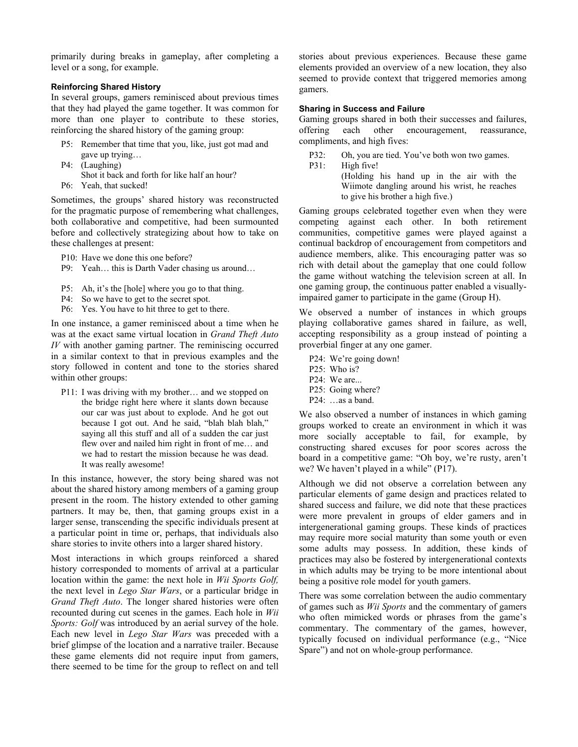primarily during breaks in gameplay, after completing a level or a song, for example.

### **Reinforcing Shared History**

In several groups, gamers reminisced about previous times that they had played the game together. It was common for more than one player to contribute to these stories, reinforcing the shared history of the gaming group:

- P5: Remember that time that you, like, just got mad and gave up trying…
- P4: (Laughing)
- Shot it back and forth for like half an hour? P6: Yeah, that sucked!

Sometimes, the groups' shared history was reconstructed for the pragmatic purpose of remembering what challenges, both collaborative and competitive, had been surmounted before and collectively strategizing about how to take on these challenges at present:

- P10: Have we done this one before?
- P9: Yeah… this is Darth Vader chasing us around…
- P5: Ah, it's the [hole] where you go to that thing.
- P4: So we have to get to the secret spot.
- P6: Yes. You have to hit three to get to there.

In one instance, a gamer reminisced about a time when he was at the exact same virtual location in *Grand Theft Auto IV* with another gaming partner. The reminiscing occurred in a similar context to that in previous examples and the story followed in content and tone to the stories shared within other groups:

P11: I was driving with my brother... and we stopped on the bridge right here where it slants down because our car was just about to explode. And he got out because I got out. And he said, "blah blah blah," saying all this stuff and all of a sudden the car just flew over and nailed him right in front of me… and we had to restart the mission because he was dead. It was really awesome!

In this instance, however, the story being shared was not about the shared history among members of a gaming group present in the room. The history extended to other gaming partners. It may be, then, that gaming groups exist in a larger sense, transcending the specific individuals present at a particular point in time or, perhaps, that individuals also share stories to invite others into a larger shared history.

Most interactions in which groups reinforced a shared history corresponded to moments of arrival at a particular location within the game: the next hole in *Wii Sports Golf*, the next level in *Lego Star Wars*, or a particular bridge in *Grand Theft Auto*. The longer shared histories were often recounted during cut scenes in the games. Each hole in *Wii Sports: Golf* was introduced by an aerial survey of the hole. Each new level in *Lego Star Wars* was preceded with a brief glimpse of the location and a narrative trailer. Because these game elements did not require input from gamers, there seemed to be time for the group to reflect on and tell

stories about previous experiences. Because these game elements provided an overview of a new location, they also seemed to provide context that triggered memories among gamers.

#### **Sharing in Success and Failure**

Gaming groups shared in both their successes and failures, offering each other encouragement, reassurance, compliments, and high fives:

P32: Oh, you are tied. You've both won two games. High five! (Holding his hand up in the air with the Wiimote dangling around his wrist, he reaches to give his brother a high five.)

Gaming groups celebrated together even when they were competing against each other. In both retirement communities, competitive games were played against a continual backdrop of encouragement from competitors and audience members, alike. This encouraging patter was so rich with detail about the gameplay that one could follow the game without watching the television screen at all. In one gaming group, the continuous patter enabled a visuallyimpaired gamer to participate in the game (Group H).

We observed a number of instances in which groups playing collaborative games shared in failure, as well, accepting responsibility as a group instead of pointing a proverbial finger at any one gamer.

- P24: We're going down! P<sub>25</sub>: Who is? P24: We are... P25: Going where?
- P24: ...as a band.

We also observed a number of instances in which gaming groups worked to create an environment in which it was more socially acceptable to fail, for example, by constructing shared excuses for poor scores across the board in a competitive game: "Oh boy, we're rusty, aren't we? We haven't played in a while" (P17).

Although we did not observe a correlation between any particular elements of game design and practices related to shared success and failure, we did note that these practices were more prevalent in groups of elder gamers and in intergenerational gaming groups. These kinds of practices may require more social maturity than some youth or even some adults may possess. In addition, these kinds of practices may also be fostered by intergenerational contexts in which adults may be trying to be more intentional about being a positive role model for youth gamers.

There was some correlation between the audio commentary of games such as *Wii Sports* and the commentary of gamers who often mimicked words or phrases from the game's commentary. The commentary of the games, however, typically focused on individual performance (e.g., "Nice Spare") and not on whole-group performance.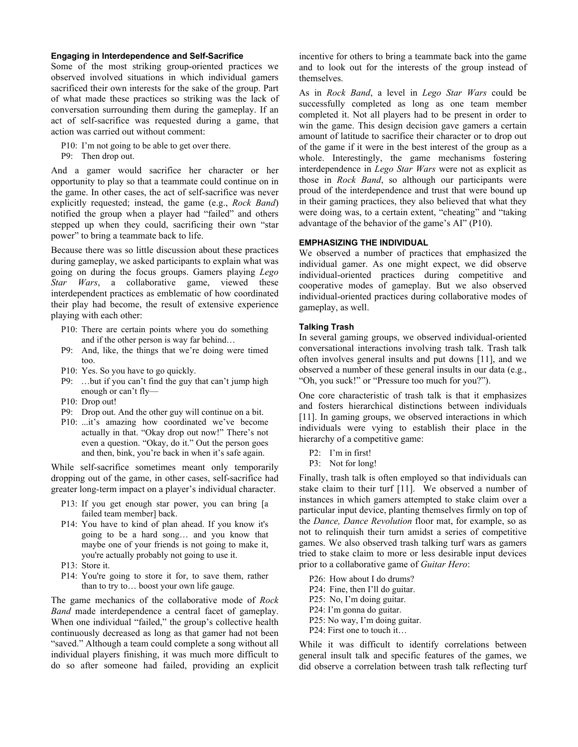#### **Engaging in Interdependence and Self-Sacrifice**

Some of the most striking group-oriented practices we observed involved situations in which individual gamers sacrificed their own interests for the sake of the group. Part of what made these practices so striking was the lack of conversation surrounding them during the gameplay. If an act of self-sacrifice was requested during a game, that action was carried out without comment:

- P10: I'm not going to be able to get over there.
- P9: Then drop out.

And a gamer would sacrifice her character or her opportunity to play so that a teammate could continue on in the game. In other cases, the act of self-sacrifice was never explicitly requested; instead, the game (e.g., *Rock Band*) notified the group when a player had "failed" and others stepped up when they could, sacrificing their own "star power" to bring a teammate back to life.

Because there was so little discussion about these practices during gameplay, we asked participants to explain what was going on during the focus groups. Gamers playing *Lego Star Wars*, a collaborative game, viewed these interdependent practices as emblematic of how coordinated their play had become, the result of extensive experience playing with each other:

- P10: There are certain points where you do something and if the other person is way far behind…
- P9: And, like, the things that we're doing were timed too.
- P10: Yes. So you have to go quickly.
- P9: …but if you can't find the guy that can't jump high enough or can't fly—
- P10: Drop out!
- P9: Drop out. And the other guy will continue on a bit.
- P10: ...it's amazing how coordinated we've become actually in that. "Okay drop out now!" There's not even a question. "Okay, do it." Out the person goes and then, bink, you're back in when it's safe again.

While self-sacrifice sometimes meant only temporarily dropping out of the game, in other cases, self-sacrifice had greater long-term impact on a player's individual character.

- P13: If you get enough star power, you can bring [a failed team member] back.
- P14: You have to kind of plan ahead. If you know it's going to be a hard song… and you know that maybe one of your friends is not going to make it, you're actually probably not going to use it.
- P13: Store it.
- P14: You're going to store it for, to save them, rather than to try to… boost your own life gauge.

The game mechanics of the collaborative mode of *Rock Band* made interdependence a central facet of gameplay. When one individual "failed," the group's collective health continuously decreased as long as that gamer had not been "saved." Although a team could complete a song without all individual players finishing, it was much more difficult to do so after someone had failed, providing an explicit incentive for others to bring a teammate back into the game and to look out for the interests of the group instead of themselves.

As in *Rock Band*, a level in *Lego Star Wars* could be successfully completed as long as one team member completed it. Not all players had to be present in order to win the game. This design decision gave gamers a certain amount of latitude to sacrifice their character or to drop out of the game if it were in the best interest of the group as a whole. Interestingly, the game mechanisms fostering interdependence in *Lego Star Wars* were not as explicit as those in *Rock Band*, so although our participants were proud of the interdependence and trust that were bound up in their gaming practices, they also believed that what they were doing was, to a certain extent, "cheating" and "taking advantage of the behavior of the game's AI" (P10).

# **EMPHASIZING THE INDIVIDUAL**

We observed a number of practices that emphasized the individual gamer. As one might expect, we did observe individual-oriented practices during competitive and cooperative modes of gameplay. But we also observed individual-oriented practices during collaborative modes of gameplay, as well.

# **Talking Trash**

In several gaming groups, we observed individual-oriented conversational interactions involving trash talk. Trash talk often involves general insults and put downs [11], and we observed a number of these general insults in our data (e.g., "Oh, you suck!" or "Pressure too much for you?").

One core characteristic of trash talk is that it emphasizes and fosters hierarchical distinctions between individuals [11]. In gaming groups, we observed interactions in which individuals were vying to establish their place in the hierarchy of a competitive game:

- P2: I'm in first!
- P3: Not for long!

Finally, trash talk is often employed so that individuals can stake claim to their turf [11]. We observed a number of instances in which gamers attempted to stake claim over a particular input device, planting themselves firmly on top of the *Dance, Dance Revolution* floor mat, for example, so as not to relinquish their turn amidst a series of competitive games. We also observed trash talking turf wars as gamers tried to stake claim to more or less desirable input devices prior to a collaborative game of *Guitar Hero*:

P26: How about I do drums? P24: Fine, then I'll do guitar. P25: No, I'm doing guitar. P24: I'm gonna do guitar. P25: No way, I'm doing guitar. P<sub>24</sub>: First one to touch it…

While it was difficult to identify correlations between general insult talk and specific features of the games, we did observe a correlation between trash talk reflecting turf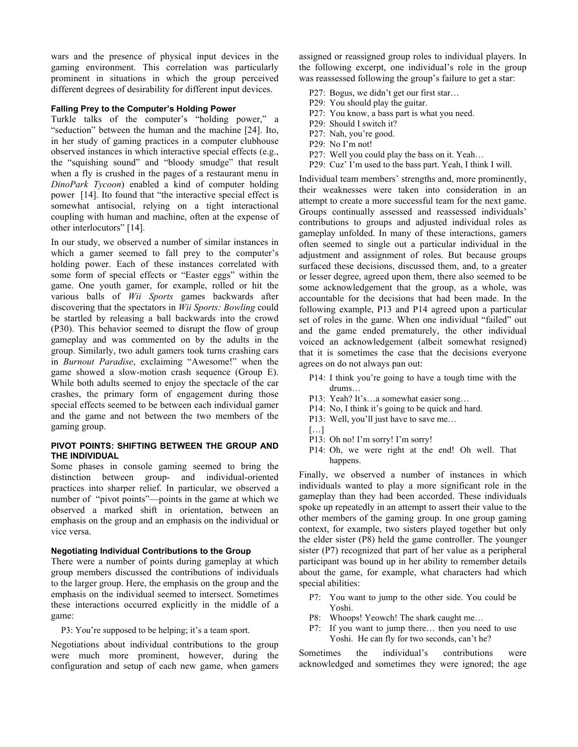wars and the presence of physical input devices in the gaming environment. This correlation was particularly prominent in situations in which the group perceived different degrees of desirability for different input devices.

# **Falling Prey to the Computer's Holding Power**

Turkle talks of the computer's "holding power," a "seduction" between the human and the machine [24]. Ito, in her study of gaming practices in a computer clubhouse observed instances in which interactive special effects (e.g., the "squishing sound" and "bloody smudge" that result when a fly is crushed in the pages of a restaurant menu in *DinoPark Tycoon*) enabled a kind of computer holding power [14]. Ito found that "the interactive special effect is somewhat antisocial, relying on a tight interactional coupling with human and machine, often at the expense of other interlocutors" [14].

In our study, we observed a number of similar instances in which a gamer seemed to fall prey to the computer's holding power. Each of these instances correlated with some form of special effects or "Easter eggs" within the game. One youth gamer, for example, rolled or hit the various balls of *Wii Sports* games backwards after discovering that the spectators in *Wii Sports: Bowling* could be startled by releasing a ball backwards into the crowd (P30). This behavior seemed to disrupt the flow of group gameplay and was commented on by the adults in the group. Similarly, two adult gamers took turns crashing cars in *Burnout Paradise*, exclaiming "Awesome!" when the game showed a slow-motion crash sequence (Group E). While both adults seemed to enjoy the spectacle of the car crashes, the primary form of engagement during those special effects seemed to be between each individual gamer and the game and not between the two members of the gaming group.

# **PIVOT POINTS: SHIFTING BETWEEN THE GROUP AND THE INDIVIDUAL**

Some phases in console gaming seemed to bring the distinction between group- and individual-oriented practices into sharper relief. In particular, we observed a number of "pivot points"—points in the game at which we observed a marked shift in orientation, between an emphasis on the group and an emphasis on the individual or vice versa.

# **Negotiating Individual Contributions to the Group**

There were a number of points during gameplay at which group members discussed the contributions of individuals to the larger group. Here, the emphasis on the group and the emphasis on the individual seemed to intersect. Sometimes these interactions occurred explicitly in the middle of a game:

P3: You're supposed to be helping; it's a team sport.

Negotiations about individual contributions to the group were much more prominent, however, during the configuration and setup of each new game, when gamers assigned or reassigned group roles to individual players. In the following excerpt, one individual's role in the group was reassessed following the group's failure to get a star:

- P27: Bogus, we didn't get our first star...
- P29: You should play the guitar.
- P27: You know, a bass part is what you need.
- P29: Should I switch it?
- P27: Nah, you're good.
- P29: No I'm not!
- P27: Well you could play the bass on it. Yeah…
- P29: Cuz' I'm used to the bass part. Yeah, I think I will.

Individual team members' strengths and, more prominently, their weaknesses were taken into consideration in an attempt to create a more successful team for the next game. Groups continually assessed and reassessed individuals' contributions to groups and adjusted individual roles as gameplay unfolded. In many of these interactions, gamers often seemed to single out a particular individual in the adjustment and assignment of roles. But because groups surfaced these decisions, discussed them, and, to a greater or lesser degree, agreed upon them, there also seemed to be some acknowledgement that the group, as a whole, was accountable for the decisions that had been made. In the following example, P13 and P14 agreed upon a particular set of roles in the game. When one individual "failed" out and the game ended prematurely, the other individual voiced an acknowledgement (albeit somewhat resigned) that it is sometimes the case that the decisions everyone agrees on do not always pan out:

- P14: I think you're going to have a tough time with the drums…
- P13: Yeah? It's…a somewhat easier song…
- P14: No, I think it's going to be quick and hard.
- P13: Well, you'll just have to save me...
- […]
- P13: Oh no! I'm sorry! I'm sorry!
- P14: Oh, we were right at the end! Oh well. That happens.

Finally, we observed a number of instances in which individuals wanted to play a more significant role in the gameplay than they had been accorded. These individuals spoke up repeatedly in an attempt to assert their value to the other members of the gaming group. In one group gaming context, for example, two sisters played together but only the elder sister (P8) held the game controller. The younger sister (P7) recognized that part of her value as a peripheral participant was bound up in her ability to remember details about the game, for example, what characters had which special abilities:

- P7: You want to jump to the other side. You could be Yoshi.
- P8: Whoops! Yeowch! The shark caught me…
- P7: If you want to jump there... then you need to use Yoshi. He can fly for two seconds, can't he?

Sometimes the individual's contributions were acknowledged and sometimes they were ignored; the age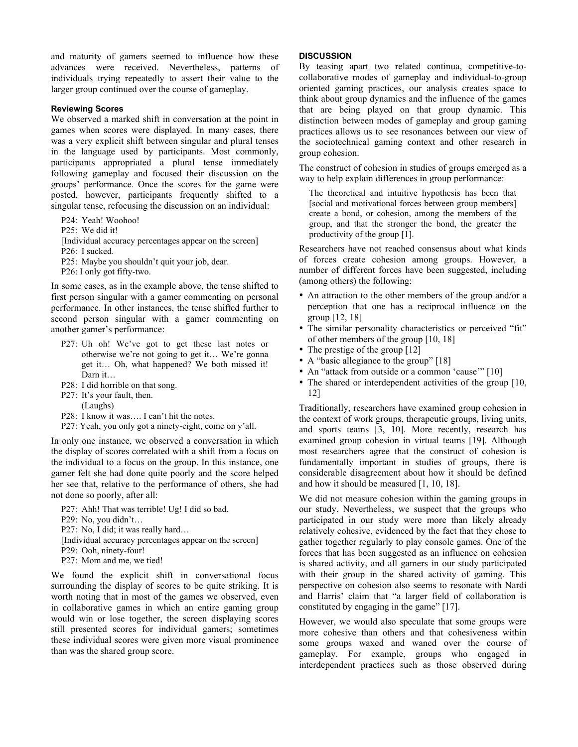and maturity of gamers seemed to influence how these advances were received. Nevertheless, patterns of individuals trying repeatedly to assert their value to the larger group continued over the course of gameplay.

#### **Reviewing Scores**

We observed a marked shift in conversation at the point in games when scores were displayed. In many cases, there was a very explicit shift between singular and plural tenses in the language used by participants. Most commonly, participants appropriated a plural tense immediately following gameplay and focused their discussion on the groups' performance. Once the scores for the game were posted, however, participants frequently shifted to a singular tense, refocusing the discussion on an individual:

P24: Yeah! Woohoo!

P<sub>25</sub>: We did it!

[Individual accuracy percentages appear on the screen]

- P26: I sucked.
- P25: Maybe you shouldn't quit your job, dear.
- P26: I only got fifty-two.

In some cases, as in the example above, the tense shifted to first person singular with a gamer commenting on personal performance. In other instances, the tense shifted further to second person singular with a gamer commenting on another gamer's performance:

- P27: Uh oh! We've got to get these last notes or otherwise we're not going to get it… We're gonna get it… Oh, what happened? We both missed it! Darn it…
- P28: I did horrible on that song.
- P27: It's your fault, then.
	- (Laughs)
- P28: I know it was…. I can't hit the notes.
- P27: Yeah, you only got a ninety-eight, come on y'all.

In only one instance, we observed a conversation in which the display of scores correlated with a shift from a focus on the individual to a focus on the group. In this instance, one gamer felt she had done quite poorly and the score helped her see that, relative to the performance of others, she had not done so poorly, after all:

- P27: Ahh! That was terrible! Ug! I did so bad.
- P29: No, you didn't…
- P27: No, I did; it was really hard...
- [Individual accuracy percentages appear on the screen]
- P29: Ooh, ninety-four!
- P27: Mom and me, we tied!

We found the explicit shift in conversational focus surrounding the display of scores to be quite striking. It is worth noting that in most of the games we observed, even in collaborative games in which an entire gaming group would win or lose together, the screen displaying scores still presented scores for individual gamers; sometimes these individual scores were given more visual prominence than was the shared group score.

#### **DISCUSSION**

By teasing apart two related continua, competitive-tocollaborative modes of gameplay and individual-to-group oriented gaming practices, our analysis creates space to think about group dynamics and the influence of the games that are being played on that group dynamic. This distinction between modes of gameplay and group gaming practices allows us to see resonances between our view of the sociotechnical gaming context and other research in group cohesion.

The construct of cohesion in studies of groups emerged as a way to help explain differences in group performance:

The theoretical and intuitive hypothesis has been that [social and motivational forces between group members] create a bond, or cohesion, among the members of the group, and that the stronger the bond, the greater the productivity of the group [1].

Researchers have not reached consensus about what kinds of forces create cohesion among groups. However, a number of different forces have been suggested, including (among others) the following:

- An attraction to the other members of the group and/or a perception that one has a reciprocal influence on the group [12, 18]
- The similar personality characteristics or perceived "fit" of other members of the group [10, 18]
- The prestige of the group [12]
- A "basic allegiance to the group" [18]
- An "attack from outside or a common 'cause'" [10]
- The shared or interdependent activities of the group [10, 12]

Traditionally, researchers have examined group cohesion in the context of work groups, therapeutic groups, living units, and sports teams [3, 10]. More recently, research has examined group cohesion in virtual teams [19]. Although most researchers agree that the construct of cohesion is fundamentally important in studies of groups, there is considerable disagreement about how it should be defined and how it should be measured [1, 10, 18].

We did not measure cohesion within the gaming groups in our study. Nevertheless, we suspect that the groups who participated in our study were more than likely already relatively cohesive, evidenced by the fact that they chose to gather together regularly to play console games. One of the forces that has been suggested as an influence on cohesion is shared activity, and all gamers in our study participated with their group in the shared activity of gaming. This perspective on cohesion also seems to resonate with Nardi and Harris' claim that "a larger field of collaboration is constituted by engaging in the game" [17].

However, we would also speculate that some groups were more cohesive than others and that cohesiveness within some groups waxed and waned over the course of gameplay. For example, groups who engaged in interdependent practices such as those observed during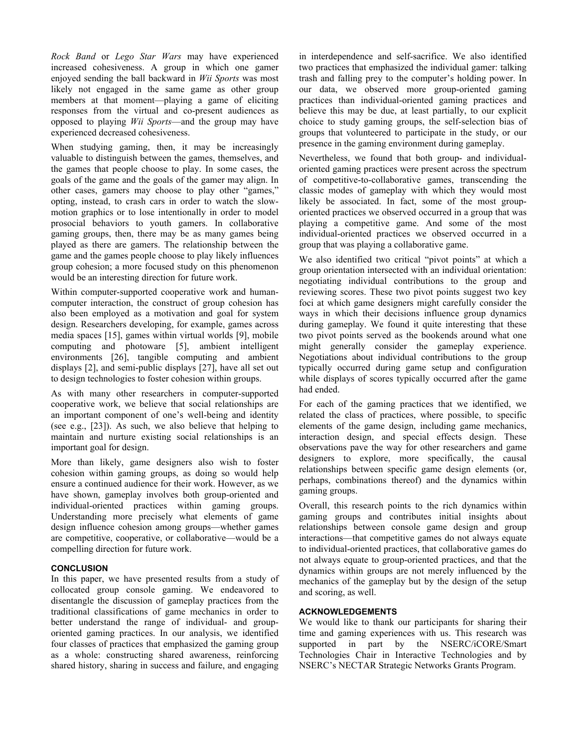*Rock Band* or *Lego Star Wars* may have experienced increased cohesiveness. A group in which one gamer enjoyed sending the ball backward in *Wii Sports* was most likely not engaged in the same game as other group members at that moment—playing a game of eliciting responses from the virtual and co-present audiences as opposed to playing *Wii Sports*—and the group may have experienced decreased cohesiveness.

When studying gaming, then, it may be increasingly valuable to distinguish between the games, themselves, and the games that people choose to play. In some cases, the goals of the game and the goals of the gamer may align. In other cases, gamers may choose to play other "games," opting, instead, to crash cars in order to watch the slowmotion graphics or to lose intentionally in order to model prosocial behaviors to youth gamers. In collaborative gaming groups, then, there may be as many games being played as there are gamers. The relationship between the game and the games people choose to play likely influences group cohesion; a more focused study on this phenomenon would be an interesting direction for future work.

Within computer-supported cooperative work and humancomputer interaction, the construct of group cohesion has also been employed as a motivation and goal for system design. Researchers developing, for example, games across media spaces [15], games within virtual worlds [9], mobile computing and photoware [5], ambient intelligent environments [26], tangible computing and ambient displays [2], and semi-public displays [27], have all set out to design technologies to foster cohesion within groups.

As with many other researchers in computer-supported cooperative work, we believe that social relationships are an important component of one's well-being and identity (see e.g., [23]). As such, we also believe that helping to maintain and nurture existing social relationships is an important goal for design.

More than likely, game designers also wish to foster cohesion within gaming groups, as doing so would help ensure a continued audience for their work. However, as we have shown, gameplay involves both group-oriented and individual-oriented practices within gaming groups. Understanding more precisely what elements of game design influence cohesion among groups—whether games are competitive, cooperative, or collaborative—would be a compelling direction for future work.

# **CONCLUSION**

In this paper, we have presented results from a study of collocated group console gaming. We endeavored to disentangle the discussion of gameplay practices from the traditional classifications of game mechanics in order to better understand the range of individual- and grouporiented gaming practices. In our analysis, we identified four classes of practices that emphasized the gaming group as a whole: constructing shared awareness, reinforcing shared history, sharing in success and failure, and engaging in interdependence and self-sacrifice. We also identified two practices that emphasized the individual gamer: talking trash and falling prey to the computer's holding power. In our data, we observed more group-oriented gaming practices than individual-oriented gaming practices and believe this may be due, at least partially, to our explicit choice to study gaming groups, the self-selection bias of groups that volunteered to participate in the study, or our presence in the gaming environment during gameplay.

Nevertheless, we found that both group- and individualoriented gaming practices were present across the spectrum of competitive-to-collaborative games, transcending the classic modes of gameplay with which they would most likely be associated. In fact, some of the most grouporiented practices we observed occurred in a group that was playing a competitive game. And some of the most individual-oriented practices we observed occurred in a group that was playing a collaborative game.

We also identified two critical "pivot points" at which a group orientation intersected with an individual orientation: negotiating individual contributions to the group and reviewing scores. These two pivot points suggest two key foci at which game designers might carefully consider the ways in which their decisions influence group dynamics during gameplay. We found it quite interesting that these two pivot points served as the bookends around what one might generally consider the gameplay experience. Negotiations about individual contributions to the group typically occurred during game setup and configuration while displays of scores typically occurred after the game had ended.

For each of the gaming practices that we identified, we related the class of practices, where possible, to specific elements of the game design, including game mechanics, interaction design, and special effects design. These observations pave the way for other researchers and game designers to explore, more specifically, the causal relationships between specific game design elements (or, perhaps, combinations thereof) and the dynamics within gaming groups.

Overall, this research points to the rich dynamics within gaming groups and contributes initial insights about relationships between console game design and group interactions—that competitive games do not always equate to individual-oriented practices, that collaborative games do not always equate to group-oriented practices, and that the dynamics within groups are not merely influenced by the mechanics of the gameplay but by the design of the setup and scoring, as well.

# **ACKNOWLEDGEMENTS**

We would like to thank our participants for sharing their time and gaming experiences with us. This research was supported in part by the NSERC/iCORE/Smart Technologies Chair in Interactive Technologies and by NSERC's NECTAR Strategic Networks Grants Program.